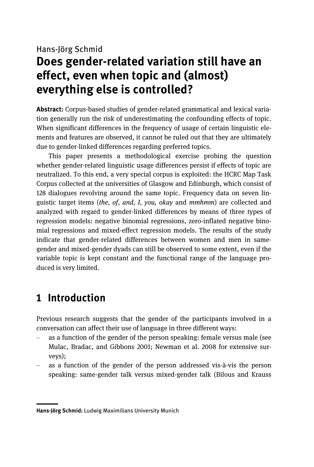# Hans-Jörg Schmid **Does gender-related variation still have an effect, even when topic and (almost) everything else is controlled?**

**Abstract:** Corpus-based studies of gender-related grammatical and lexical variation generally run the risk of underestimating the confounding effects of topic. When significant differences in the frequency of usage of certain linguistic elements and features are observed, it cannot be ruled out that they are ultimately due to gender-linked differences regarding preferred topics.

This paper presents a methodological exercise probing the question whether gender-related linguistic usage differences persist if effects of topic are neutralized. To this end, a very special corpus is exploited: the HCRC Map Task Corpus collected at the universities of Glasgow and Edinburgh, which consist of 128 dialogues revolving around the same topic. Frequency data on seven linguistic target items (*the, of, and, I, you, okay* and *mmhmm*) are collected and analyzed with regard to gender-linked differences by means of three types of regression models: negative binomial regressions, zero-inflated negative binomial regressions and mixed-effect regression models. The results of the study indicate that gender-related differences between women and men in samegender and mixed-gender dyads can still be observed to some extent, even if the variable topic is kept constant and the functional range of the language produced is very limited.

## **1 Introduction**

Previous research suggests that the gender of the participants involved in a conversation can affect their use of language in three different ways:

- as a function of the gender of the person speaking: female versus male (see Mulac, Bradac, and Gibbons 2001; Newman et al. 2008 for extensive surveys);
- as a function of the gender of the person addressed vis-à-vis the person speaking: same-gender talk versus mixed-gender talk (Bilous and Krauss

**Hans-Jörg Schmid:** Ludwig Maximilians University Munich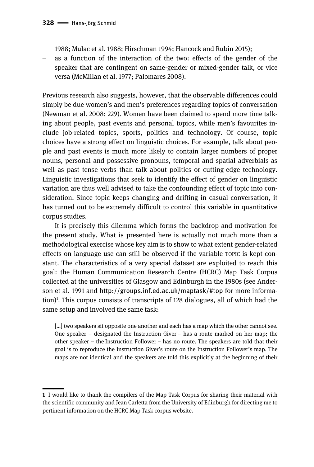1988; Mulac et al. 1988; Hirschman 1994; Hancock and Rubin 2015);

– as a function of the interaction of the two: effects of the gender of the speaker that are contingent on same-gender or mixed-gender talk, or vice versa (McMillan et al. 1977; Palomares 2008).

Previous research also suggests, however, that the observable differences could simply be due women's and men's preferences regarding topics of conversation (Newman et al. 2008: 229). Women have been claimed to spend more time talking about people, past events and personal topics, while men's favourites include job-related topics, sports, politics and technology. Of course, topic choices have a strong effect on linguistic choices. For example, talk about people and past events is much more likely to contain larger numbers of proper nouns, personal and possessive pronouns, temporal and spatial adverbials as well as past tense verbs than talk about politics or cutting-edge technology. Linguistic investigations that seek to identify the effect of gender on linguistic variation are thus well advised to take the confounding effect of topic into consideration. Since topic keeps changing and drifting in casual conversation, it has turned out to be extremely difficult to control this variable in quantitative corpus studies.

It is precisely this dilemma which forms the backdrop and motivation for the present study. What is presented here is actually not much more than a methodological exercise whose key aim is to show to what extent gender-related effects on language use can still be observed if the variable TOPIC is kept constant. The characteristics of a very special dataset are exploited to reach this goal: the Human Communication Research Centre (HCRC) Map Task Corpus collected at the universities of Glasgow and Edinburgh in the 1980s (see Anderson et al. 1991 and http://groups.inf.ed.ac.uk/maptask/#top for more information)<sup>1</sup>. This corpus consists of transcripts of 128 dialogues, all of which had the same setup and involved the same task:

[...] two speakers sit opposite one another and each has a map which the other cannot see. One speaker – designated the Instruction Giver – has a route marked on her map; the other speaker – the Instruction Follower – has no route. The speakers are told that their goal is to reproduce the Instruction Giver's route on the Instruction Follower's map. The maps are not identical and the speakers are told this explicitly at the beginning of their

**<sup>1</sup>** I would like to thank the compilers of the Map Task Corpus for sharing their material with the scientific community and Jean Carletta from the University of Edinburgh for directing me to pertinent information on the HCRC Map Task corpus website.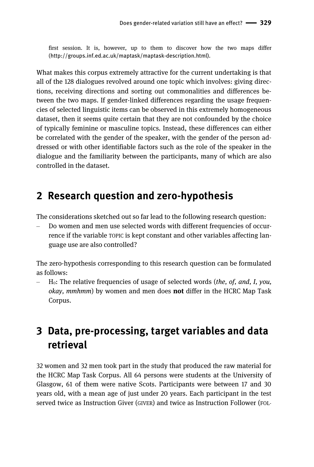first session. It is, however, up to them to discover how the two maps differ (http://groups.inf.ed.ac.uk/maptask/maptask-description.html).

What makes this corpus extremely attractive for the current undertaking is that all of the 128 dialogues revolved around one topic which involves: giving directions, receiving directions and sorting out commonalities and differences between the two maps. If gender-linked differences regarding the usage frequencies of selected linguistic items can be observed in this extremely homogeneous dataset, then it seems quite certain that they are not confounded by the choice of typically feminine or masculine topics. Instead, these differences can either be correlated with the gender of the speaker, with the gender of the person addressed or with other identifiable factors such as the role of the speaker in the dialogue and the familiarity between the participants, many of which are also controlled in the dataset.

## **2 Research question and zero-hypothesis**

The considerations sketched out so far lead to the following research question:

– Do women and men use selected words with different frequencies of occurrence if the variable TOPIC is kept constant and other variables affecting language use are also controlled?

The zero-hypothesis corresponding to this research question can be formulated as follows:

– H0: The relative frequencies of usage of selected words (*the, of, and, I, you, okay, mmhmm*) by women and men does **not** differ in the HCRC Map Task Corpus.

# **3 Data, pre-processing, target variables and data retrieval**

32 women and 32 men took part in the study that produced the raw material for the HCRC Map Task Corpus. All 64 persons were students at the University of Glasgow, 61 of them were native Scots. Participants were between 17 and 30 years old, with a mean age of just under 20 years. Each participant in the test served twice as Instruction Giver (GIVER) and twice as Instruction Follower (FOL-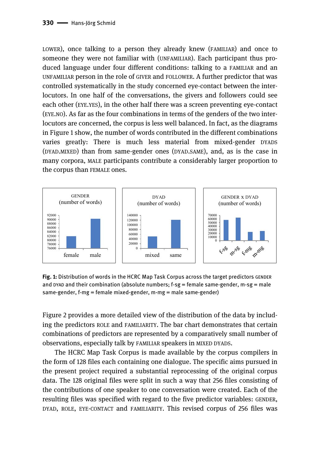LOWER), once talking to a person they already knew (FAMILIAR) and once to someone they were not familiar with (UNFAMILIAR). Each participant thus produced language under four different conditions: talking to a FAMILIAR and an UNFAMILIAR person in the role of GIVER and FOLLOWER. A further predictor that was controlled systematically in the study concerned eye-contact between the interlocutors. In one half of the conversations, the givers and followers could see each other (EYE.YES), in the other half there was a screen preventing eye-contact (EYE.NO). As far as the four combinations in terms of the genders of the two interlocutors are concerned, the corpus is less well balanced. In fact, as the diagrams in Figure 1 show, the number of words contributed in the different combinations varies greatly: There is much less material from mixed-gender DYADS (DYAD.MIXED) than from same-gender ones (DYAD.SAME), and, as is the case in many corpora, MALE participants contribute a considerably larger proportion to the corpus than FEMALE ones.



**Fig. 1:** Distribution of words in the HCRC Map Task Corpus across the target predictors GENDER and DYAD and their combination (absolute numbers;  $f-sg = f$ emale same-gender, m-sg = male same-gender, f-mg = female mixed-gender, m-mg = male same-gender)

Figure 2 provides a more detailed view of the distribution of the data by including the predictors ROLE and FAMILIARITY. The bar chart demonstrates that certain combinations of predictors are represented by a comparatively small number of observations, especially talk by FAMILIAR speakers in MIXED DYADS.

The HCRC Map Task Corpus is made available by the corpus compilers in the form of 128 files each containing one dialogue. The specific aims pursued in the present project required a substantial reprocessing of the original corpus data. The 128 original files were split in such a way that 256 files consisting of the contributions of one speaker to one conversation were created. Each of the resulting files was specified with regard to the five predictor variables: GENDER, DYAD, ROLE, EYE-CONTACT and FAMILIARITY. This revised corpus of 256 files was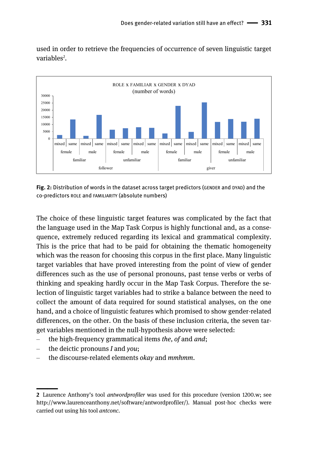used in order to retrieve the frequencies of occurrence of seven linguistic target variables<sup>2</sup>.



**Fig. 2:** Distribution of words in the dataset across target predictors (GENDER and DYAD) and the co-predictors ROLE and FAMILIARITY (absolute numbers)

The choice of these linguistic target features was complicated by the fact that the language used in the Map Task Corpus is highly functional and, as a consequence, extremely reduced regarding its lexical and grammatical complexity. This is the price that had to be paid for obtaining the thematic homogeneity which was the reason for choosing this corpus in the first place. Many linguistic target variables that have proved interesting from the point of view of gender differences such as the use of personal pronouns, past tense verbs or verbs of thinking and speaking hardly occur in the Map Task Corpus. Therefore the selection of linguistic target variables had to strike a balance between the need to collect the amount of data required for sound statistical analyses, on the one hand, and a choice of linguistic features which promised to show gender-related differences, on the other. On the basis of these inclusion criteria, the seven target variables mentioned in the null-hypothesis above were selected:

- the high-frequency grammatical items *the, of* and *and*;
- the deictic pronouns *I* and *you*;
- the discourse-related elements *okay* and *mmhmm*.

**<sup>2</sup>** Laurence Anthony's tool *antwordprofiler* was used for this procedure (version 1200.w; see http://www.laurenceanthony.net/software/antwordprofiler/). Manual post-hoc checks were carried out using his tool *antconc*.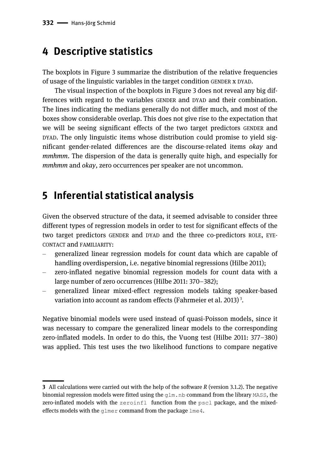## **4 Descriptive statistics**

The boxplots in Figure 3 summarize the distribution of the relative frequencies of usage of the linguistic variables in the target condition GENDER x DYAD.

The visual inspection of the boxplots in Figure 3 does not reveal any big differences with regard to the variables GENDER and DYAD and their combination. The lines indicating the medians generally do not differ much, and most of the boxes show considerable overlap. This does not give rise to the expectation that we will be seeing significant effects of the two target predictors GENDER and DYAD. The only linguistic items whose distribution could promise to yield significant gender-related differences are the discourse-related items *okay* and *mmhmm*. The dispersion of the data is generally quite high, and especially for *mmhmm* and *okay*, zero occurrences per speaker are not uncommon.

## **5 Inferential statistical analysis**

Given the observed structure of the data, it seemed advisable to consider three different types of regression models in order to test for significant effects of the two target predictors GENDER and DYAD and the three co-predictors ROLE, EYE-CONTACT and FAMILIARITY:

- generalized linear regression models for count data which are capable of handling overdispersion, i.e. negative binomial regressions (Hilbe 2011);
- zero-inflated negative binomial regression models for count data with a large number of zero occurrences (Hilbe 2011: 370–382);
- generalized linear mixed-effect regression models taking speaker-based variation into account as random effects (Fahrmeier et al. 2013) $^3$ .

Negative binomial models were used instead of quasi-Poisson models, since it was necessary to compare the generalized linear models to the corresponding zero-inflated models. In order to do this, the Vuong test (Hilbe 2011: 377–380) was applied. This test uses the two likelihood functions to compare negative

**<sup>3</sup>** All calculations were carried out with the help of the software *R* (version 3.1.2). The negative binomial regression models were fitted using the  $qlm$ , nb command from the library MASS, the zero-inflated models with the  $z$ eroinfl function from the pscl package, and the mixedeffects models with the glmer command from the package lme4.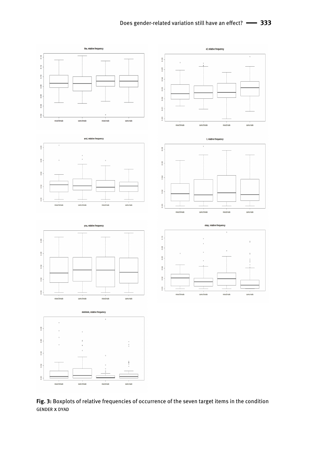

**Fig. 3:** Boxplots of relative frequencies of occurrence of the seven target items in the condition GENDER x DYAD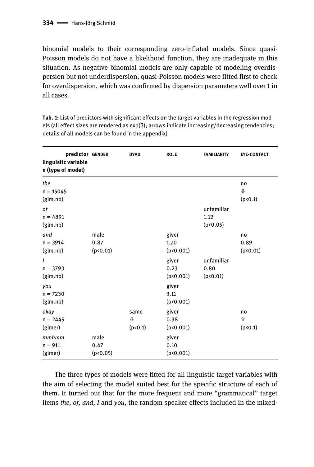binomial models to their corresponding zero-inflated models. Since quasi-Poisson models do not have a likelihood function, they are inadequate in this situation. As negative binomial models are only capable of modeling overdispersion but not underdispersion, quasi-Poisson models were fitted first to check for overdispersion, which was confirmed by dispersion parameters well over 1 in all cases.

**Tab. 1:** List of predictors with significant effects on the target variables in the regression models (all effect sizes are rendered as exp(β); arrows indicate increasing/decreasing tendencies; details of all models can be found in the appendix)

| predictor GENDER<br>linguistic variable<br>n (type of model) |                          | <b>DYAD</b>          | <b>ROLE</b>                | <b>FAMILIARITY</b>             | <b>EYE-CONTACT</b>     |
|--------------------------------------------------------------|--------------------------|----------------------|----------------------------|--------------------------------|------------------------|
| the<br>$n = 15045$<br>(glm.nb)<br>оf                         |                          |                      |                            | unfamiliar                     | no<br>⇩<br>(p<0.1)     |
| $n = 4891$<br>(glm.nb)                                       |                          |                      |                            | 1.12<br>(p<0.05)               |                        |
| and<br>$n = 3914$<br>(glm.nb)                                | male<br>0.87<br>(p<0.01) |                      | giver<br>1.70<br>(p<0.001) |                                | no<br>0.89<br>(p<0.01) |
| I<br>$n = 3793$<br>(glm.nb)                                  |                          |                      | giver<br>0.23<br>(p<0.001) | unfamiliar<br>0.80<br>(p<0.01) |                        |
| you<br>$n = 7230$<br>(glm.nb)                                |                          |                      | giver<br>3.11<br>(p<0.001) |                                |                        |
| okay<br>$n = 2449$<br>(glmer)                                |                          | same<br>⇩<br>(p<0.1) | giver<br>0.38<br>(p<0.001) |                                | no<br>⇧<br>(p<0.1)     |
| mmhmm<br>$n = 911$<br>(glmer)                                | male<br>0.47<br>(p<0.05) |                      | giver<br>0.10<br>(p<0.001) |                                |                        |

The three types of models were fitted for all linguistic target variables with the aim of selecting the model suited best for the specific structure of each of them. It turned out that for the more frequent and more "grammatical" target items *the, of, and, I* and *you*, the random speaker effects included in the mixed-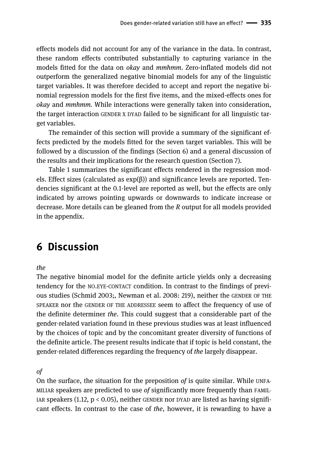effects models did not account for any of the variance in the data. In contrast, these random effects contributed substantially to capturing variance in the models fitted for the data on *okay* and *mmhmm*. Zero-inflated models did not outperform the generalized negative binomial models for any of the linguistic target variables. It was therefore decided to accept and report the negative binomial regression models for the first five items, and the mixed-effects ones for *okay* and *mmhmm.* While interactions were generally taken into consideration, the target interaction GENDER X DYAD failed to be significant for all linguistic target variables.

The remainder of this section will provide a summary of the significant effects predicted by the models fitted for the seven target variables. This will be followed by a discussion of the findings (Section 6) and a general discussion of the results and their implications for the research question (Section 7).

Table 1 summarizes the significant effects rendered in the regression models. Effect sizes (calculated as  $exp(\beta)$ ) and significance levels are reported. Tendencies significant at the 0.1-level are reported as well, but the effects are only indicated by arrows pointing upwards or downwards to indicate increase or decrease. More details can be gleaned from the *R* output for all models provided in the appendix.

## **6 Discussion**

*the*

The negative binomial model for the definite article yields only a decreasing tendency for the NO.EYE-CONTACT condition. In contrast to the findings of previous studies (Schmid 2003;, Newman et al. 2008: 219), neither the GENDER OF THE SPEAKER nor the GENDER OF THE ADDRESSEE seem to affect the frequency of use of the definite determiner *the*. This could suggest that a considerable part of the gender-related variation found in these previous studies was at least influenced by the choices of topic and by the concomitant greater diversity of functions of the definite article. The present results indicate that if topic is held constant, the gender-related differences regarding the frequency of *the* largely disappear.

*of*

On the surface, the situation for the preposition *of* is quite similar. While UNFA-MILIAR speakers are predicted to use *of* significantly more frequently than FAMIL-IAR speakers  $(1.12, p < 0.05)$ , neither GENDER nor DYAD are listed as having significant effects. In contrast to the case of *the*, however, it is rewarding to have a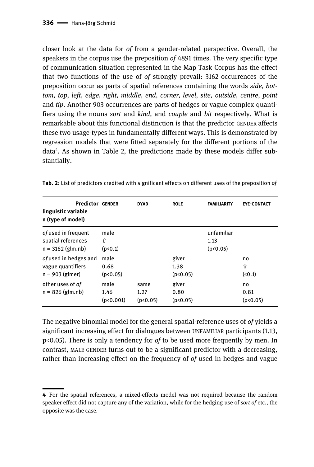closer look at the data for *of* from a gender-related perspective. Overall, the speakers in the corpus use the preposition *of* 4891 times. The very specific type of communication situation represented in the Map Task Corpus has the effect that two functions of the use of *of* strongly prevail: 3162 occurrences of the preposition occur as parts of spatial references containing the words *side, bottom, top, left, edge, right, middle, end, corner, level, site, outside, centre, point* and *tip*. Another 903 occurrences are parts of hedges or vague complex quantifiers using the nouns *sort* and *kind,* and *couple* and *bit* respectively. What is remarkable about this functional distinction is that the predictor GENDER affects these two usage-types in fundamentally different ways. This is demonstrated by regression models that were fitted separately for the different portions of the data<sup>4</sup>. As shown in Table 2, the predictions made by these models differ substantially.

| <b>Predictor GENDER</b><br>linguistic variable<br>n (type of model) |                           | <b>DYAD</b>              | <b>ROLE</b>               | <b>FAMILIARITY</b>             | <b>EYE-CONTACT</b>     |
|---------------------------------------------------------------------|---------------------------|--------------------------|---------------------------|--------------------------------|------------------------|
| of used in frequent<br>spatial references<br>$n = 3162$ (glm.nb)    | male<br>⇧<br>(p<0.1)      |                          |                           | unfamiliar<br>1.13<br>(p<0.05) |                        |
| of used in hedges and<br>vague quantifiers<br>$n = 903$ (glmer)     | male<br>0.68<br>(p<0.05)  |                          | giver<br>1.38<br>(p<0.05) |                                | no<br>⇧<br>(0.1)       |
| other uses of <i>of</i><br>$n = 826$ (glm.nb)                       | male<br>1.46<br>(p<0.001) | same<br>1.27<br>(p<0.05) | giver<br>0.80<br>(p<0.05) |                                | no<br>0.81<br>(p<0.05) |

**Tab. 2:** List of predictors credited with significant effects on different uses of the preposition *of*

The negative binomial model for the general spatial-reference uses of *of* yields a significant increasing effect for dialogues between UNFAMILIAR participants (1.13, p<0.05). There is only a tendency for *of* to be used more frequently by men. In contrast, MALE GENDER turns out to be a significant predictor with a decreasing, rather than increasing effect on the frequency of *of* used in hedges and vague

**<sup>4</sup>** For the spatial references, a mixed-effects model was not required because the random speaker effect did not capture any of the variation, while for the hedging use of *sort of* etc., the opposite was the case.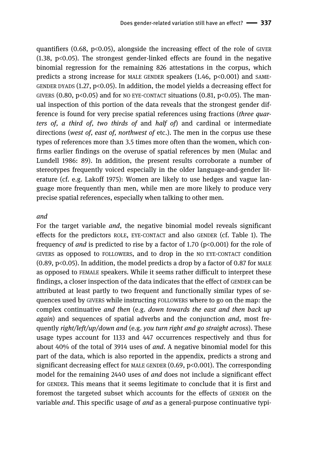quantifiers  $(0.68, p<0.05)$ , alongside the increasing effect of the role of GIVER (1.38, p<0.05). The strongest gender-linked effects are found in the negative binomial regression for the remaining 826 attestations in the corpus, which predicts a strong increase for MALE GENDER speakers (1.46, p<0.001) and SAME-GENDER DYADS (1.27, p<0.05). In addition, the model yields a decreasing effect for GIVERS  $(0.80, p<0.05)$  and for NO EYE-CONTACT situations  $(0.81, p<0.05)$ . The manual inspection of this portion of the data reveals that the strongest gender difference is found for very precise spatial references using fractions (*three quarters of, a third of, two thirds of* and *half of*) and cardinal or intermediate directions (*west of, east of, northwest of* etc.). The men in the corpus use these types of references more than 3.5 times more often than the women, which confirms earlier findings on the overuse of spatial references by men (Mulac and Lundell 1986: 89). In addition, the present results corroborate a number of stereotypes frequently voiced especially in the older language-and-gender literature (cf. e.g. Lakoff 1975): Women are likely to use hedges and vague language more frequently than men, while men are more likely to produce very precise spatial references, especially when talking to other men.

#### *and*

For the target variable *and*, the negative binomial model reveals significant effects for the predictors ROLE, EYE-CONTACT and also GENDER (cf. Table 1). The frequency of *and* is predicted to rise by a factor of 1.70 (p<0.001) for the role of GIVERS as opposed to FOLLOWERS, and to drop in the NO EYE-CONTACT condition  $(0.89, p<0.05)$ . In addition, the model predicts a drop by a factor of 0.87 for MALE as opposed to FEMALE speakers. While it seems rather difficult to interpret these findings, a closer inspection of the data indicates that the effect of GENDER can be attributed at least partly to two frequent and functionally similar types of sequences used by GIVERS while instructing FOLLOWERS where to go on the map: the complex continuative *and then* (e.g. *down towards the east and then back up again*) and sequences of spatial adverbs and the conjunction *and*, most frequently *right/left/up/down and* (e.g. *you turn right and go straight across*). These usage types account for 1133 and 447 occurrences respectively and thus for about 40% of the total of 3914 uses of *and*. A negative binomial model for this part of the data, which is also reported in the appendix, predicts a strong and significant decreasing effect for MALE GENDER (0.69, p<0.001). The corresponding model for the remaining 2440 uses of *and* does not include a significant effect for GENDER. This means that it seems legitimate to conclude that it is first and foremost the targeted subset which accounts for the effects of GENDER on the variable *and*. This specific usage of *and* as a general-purpose continuative typi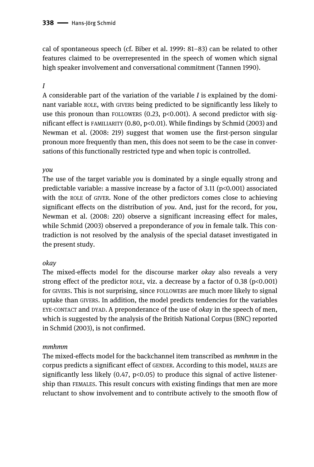cal of spontaneous speech (cf. Biber et al. 1999: 81–83) can be related to other features claimed to be overrepresented in the speech of women which signal high speaker involvement and conversational commitment (Tannen 1990).

#### *I*

A considerable part of the variation of the variable *I* is explained by the dominant variable ROLE, with GIVERS being predicted to be significantly less likely to use this pronoun than FOLLOWERS  $(0.23, p<0.001)$ . A second predictor with significant effect is FAMILIARITY (0.80, p<0.01). While findings by Schmid (2003) and Newman et al. (2008: 219) suggest that women use the first-person singular pronoun more frequently than men, this does not seem to be the case in conversations of this functionally restricted type and when topic is controlled.

#### *you*

The use of the target variable *you* is dominated by a single equally strong and predictable variable: a massive increase by a factor of  $3.11$  ( $p<0.001$ ) associated with the ROLE of GIVER. None of the other predictors comes close to achieving significant effects on the distribution of *you*. And, just for the record, for *you*, Newman et al. (2008: 220) observe a significant increasing effect for males, while Schmid (2003) observed a preponderance of *you* in female talk. This contradiction is not resolved by the analysis of the special dataset investigated in the present study.

#### *okay*

The mixed-effects model for the discourse marker *okay* also reveals a very strong effect of the predictor ROLE, viz. a decrease by a factor of  $0.38$  ( $p < 0.001$ ) for GIVERS. This is not surprising, since FOLLOWERS are much more likely to signal uptake than GIVERS. In addition, the model predicts tendencies for the variables EYE-CONTACT and DYAD. A preponderance of the use of *okay* in the speech of men, which is suggested by the analysis of the British National Corpus (BNC) reported in Schmid (2003), is not confirmed.

#### *mmhmm*

The mixed-effects model for the backchannel item transcribed as *mmhmm* in the corpus predicts a significant effect of GENDER. According to this model, MALES are significantly less likely  $(0.47, p<0.05)$  to produce this signal of active listenership than FEMALES. This result concurs with existing findings that men are more reluctant to show involvement and to contribute actively to the smooth flow of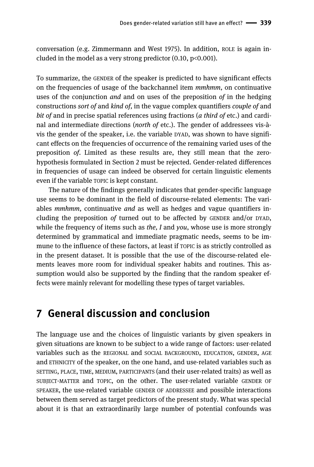conversation (e.g. Zimmermann and West 1975). In addition, ROLE is again included in the model as a very strong predictor  $(0.10, p<0.001)$ .

To summarize, the GENDER of the speaker is predicted to have significant effects on the frequencies of usage of the backchannel item *mmhmm*, on continuative uses of the conjunction *and* and on uses of the preposition *of* in the hedging constructions *sort of* and *kind of,* in the vague complex quantifiers *couple of* and *bit of* and in precise spatial references using fractions (*a third of* etc.) and cardinal and intermediate directions (*north of* etc.). The gender of addressees vis-àvis the gender of the speaker, i.e. the variable DYAD, was shown to have significant effects on the frequencies of occurrence of the remaining varied uses of the preposition *of.* Limited as these results are, they still mean that the zerohypothesis formulated in Section 2 must be rejected. Gender-related differences in frequencies of usage can indeed be observed for certain linguistic elements even if the variable TOPIC is kept constant.

The nature of the findings generally indicates that gender-specific language use seems to be dominant in the field of discourse-related elements: The variables *mmhmm*, continuative *and* as well as hedges and vague quantifiers including the preposition *of* turned out to be affected by GENDER and/or DYAD, while the frequency of items such as *the, I* and *you*, whose use is more strongly determined by grammatical and immediate pragmatic needs, seems to be immune to the influence of these factors, at least if TOPIC is as strictly controlled as in the present dataset. It is possible that the use of the discourse-related elements leaves more room for individual speaker habits and routines. This assumption would also be supported by the finding that the random speaker effects were mainly relevant for modelling these types of target variables.

## **7 General discussion and conclusion**

The language use and the choices of linguistic variants by given speakers in given situations are known to be subject to a wide range of factors: user-related variables such as the REGIONAL and SOCIAL BACKGROUND, EDUCATION, GENDER, AGE and ETHNICITY of the speaker, on the one hand, and use-related variables such as SETTING, PLACE, TIME, MEDIUM, PARTICIPANTS (and their user-related traits) as well as SUBJECT-MATTER and TOPIC, on the other. The user-related variable GENDER OF SPEAKER, the use-related variable GENDER OF ADDRESSEE and possible interactions between them served as target predictors of the present study. What was special about it is that an extraordinarily large number of potential confounds was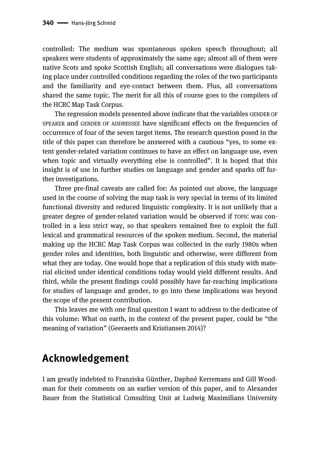controlled: The medium was spontaneous spoken speech throughout; all speakers were students of approximately the same age; almost all of them were native Scots and spoke Scottish English; all conversations were dialogues taking place under controlled conditions regarding the roles of the two participants and the familiarity and eye-contact between them. Plus, all conversations shared the same topic. The merit for all this of course goes to the compilers of the HCRC Map Task Corpus.

The regression models presented above indicate that the variables GENDER OF SPEAKER and GENDER OF ADDRESSEE have significant effects on the frequencies of occurrence of four of the seven target items. The research question posed in the title of this paper can therefore be answered with a cautious "yes, to some extent gender-related variation continues to have an effect on language use, even when topic and virtually everything else is controlled". It is hoped that this insight is of use in further studies on language and gender and sparks off further investigations.

Three pre-final caveats are called for: As pointed out above, the language used in the course of solving the map task is very special in terms of its limited functional diversity and reduced linguistic complexity. It is not unlikely that a greater degree of gender-related variation would be observed if TOPIC was controlled in a less strict way, so that speakers remained free to exploit the full lexical and grammatical resources of the spoken medium. Second, the material making up the HCRC Map Task Corpus was collected in the early 1980s when gender roles and identities, both linguistic and otherwise, were different from what they are today. One would hope that a replication of this study with material elicited under identical conditions today would yield different results. And third, while the present findings could possibly have far-reaching implications for studies of language and gender, to go into these implications was beyond the scope of the present contribution.

This leaves me with one final question I want to address to the dedicatee of this volume: What on earth, in the context of the present paper, could be "the meaning of variation" (Geeraerts and Kristiansen 2014)?

## **Acknowledgement**

I am greatly indebted to Franziska Günther, Daphné Kerremans and Gill Woodman for their comments on an earlier version of this paper, and to Alexander Bauer from the Statistical Consulting Unit at Ludwig Maximilians University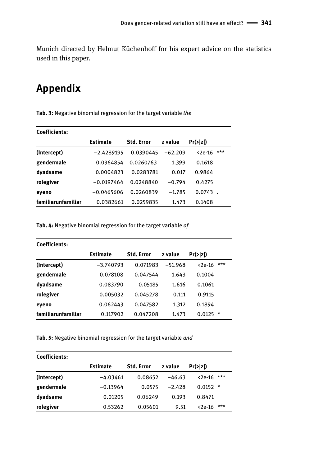Munich directed by Helmut Küchenhoff for his expert advice on the statistics used in this paper.

# **Appendix**

| Coefficients:      |                 |                   |           |           |       |
|--------------------|-----------------|-------------------|-----------|-----------|-------|
|                    | <b>Estimate</b> | <b>Std. Error</b> | z value   | Pr(>  z ) |       |
| (Intercept)        | $-2.4289195$    | 0.0390445         | $-62.209$ | $<$ 2e-16 | $***$ |
| gendermale         | 0.0364854       | 0.0260763         | 1.399     | 0.1618    |       |
| dyadsame           | 0.0004823       | 0.0283781         | 0.017     | 0.9864    |       |
| rolegiver          | $-0.0197464$    | 0.0248840         | $-0.794$  | 0.4275    |       |
| eyeno              | $-0.0465606$    | 0.0260839         | $-1.785$  | 0.0743    |       |
| familiarunfamiliar | 0.0382661       | 0.0259835         | 1.473     | 0.1408    |       |

**Tab. 3:** Negative binomial regression for the target variable *the*

**Tab. 4:** Negative binomial regression for the target variable *of*

| Coefficients:      |                 |                   |           |                   |
|--------------------|-----------------|-------------------|-----------|-------------------|
|                    | <b>Estimate</b> | <b>Std. Error</b> | z value   | Pr(>  z )         |
| (Intercept)        | $-3.740793$     | 0.071983          | $-51.968$ | $***$<br>$2e-16$  |
| gendermale         | 0.078108        | 0.047544          | 1.643     | 0.1004            |
| dvadsame           | 0.083790        | 0.05185           | 1.616     | 0.1061            |
| rolegiver          | 0.005032        | 0.045278          | 0.111     | 0.9115            |
| eyeno              | 0.062443        | 0.047582          | 1.312     | 0.1894            |
| familiarunfamiliar | 0.117902        | 0.047208          | 1.473     | $\star$<br>0.0125 |

**Tab. 5:** Negative binomial regression for the target variable *and*

| Coefficients: |                 |                   |          |            |       |
|---------------|-----------------|-------------------|----------|------------|-------|
|               | <b>Estimate</b> | <b>Std. Error</b> | z value  | Pr(>  z )  |       |
| (Intercept)   | $-4.03461$      | 0.08652           | $-46.63$ | <2e-16     | $***$ |
| gendermale    | $-0.13964$      | 0.0575            | $-2.428$ | $0.0152$ * |       |
| dyadsame      | 0.01205         | 0.06249           | 0.193    | 0.8471     |       |
| rolegiver     | 0.53262         | 0.05601           | 9.51     | $<$ 2e-16  | $***$ |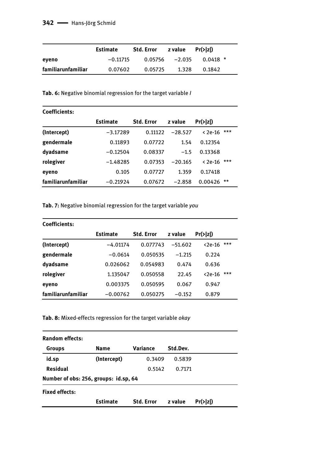|                    | Estimate   | Std. Error zvalue |                   | Pr(>  z )  |  |
|--------------------|------------|-------------------|-------------------|------------|--|
| eveno              | $-0.11715$ |                   | $0.05756 - 2.035$ | $0.0418$ * |  |
| familiarunfamiliar | 0.07602    | 0.05725           | 1.328             | 0.1842     |  |

**Tab. 6:** Negative binomial regression for the target variable *I*

| Coefficients:      |            |                   |           |           |       |
|--------------------|------------|-------------------|-----------|-----------|-------|
|                    | Estimate   | <b>Std. Error</b> | z value   | Pr(>  z ) |       |
| (Intercept)        | $-3.17289$ | 0.11122           | $-28.527$ | $& 2e-16$ | $***$ |
| gendermale         | 0.11893    | 0.07722           | 1.54      | 0.12354   |       |
| dvadsame           | $-0.12504$ | 0.08337           | $-1.5$    | 0.13368   |       |
| rolegiver          | $-1.48285$ | 0.07353           | $-20.165$ | $& 2e-16$ | $***$ |
| eveno              | 0.105      | 0.07727           | 1.359     | 0.17418   |       |
| familiarunfamiliar | $-0.21924$ | 0.07672           | $-2.858$  | 0.00426   | $***$ |

#### **Tab. 7:** Negative binomial regression for the target variable *you*

| Coefficients:      |            |                   |           |           |       |
|--------------------|------------|-------------------|-----------|-----------|-------|
|                    | Estimate   | <b>Std. Error</b> | z value   | Pr(>  z ) |       |
| (Intercept)        | -4.01174   | 0.077743          | $-51.602$ | $<$ 2e-16 | $***$ |
| gendermale         | $-0.0614$  | 0.050535          | $-1.215$  | 0.224     |       |
| dvadsame           | 0.026062   | 0.054983          | 0.474     | 0.636     |       |
| rolegiver          | 1.135047   | 0.050558          | 22.45     | $2P-16$   | $***$ |
| eveno              | 0.003375   | 0.050595          | 0.067     | 0.947     |       |
| familiarunfamiliar | $-0.00762$ | 0.050275          | $-0.152$  | 0.879     |       |

**Tab. 8:** Mixed-effects regression for the target variable *okay*

| <b>Random effects:</b> |                                       |                   |          |           |
|------------------------|---------------------------------------|-------------------|----------|-----------|
| <b>Groups</b>          | Name                                  | Variance          | Std.Dev. |           |
| id.sp                  | (Intercept)                           | 0.3409            | 0.5839   |           |
| Residual               |                                       | 0.5142            | 0.7171   |           |
|                        | Number of obs: 256, groups: id.sp, 64 |                   |          |           |
| <b>Fixed effects:</b>  |                                       |                   |          |           |
|                        | <b>Estimate</b>                       | <b>Std. Error</b> | z value  | Pr(>  z ) |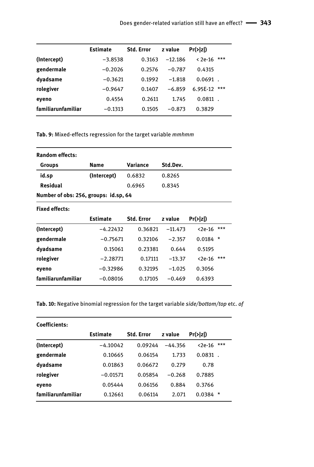|                    | <b>Estimate</b> | <b>Std. Error</b> | z value   | Pr(>  z )  |       |
|--------------------|-----------------|-------------------|-----------|------------|-------|
| (Intercept)        | $-3.8538$       | 0.3163            | $-12.186$ | $& 2e-16$  | $***$ |
| gendermale         | $-0.2026$       | 0.2576            | $-0.787$  | 0.4315     |       |
| dyadsame           | $-0.3621$       | 0.1992            | $-1.818$  | $0.0691$ . |       |
| rolegiver          | $-0.9647$       | 0.1407            | $-6.859$  | 6.95E-12   | $***$ |
| eveno              | 0.4554          | 0.2611            | 1.745     | $0.0811$ . |       |
| familiarunfamiliar | $-0.1313$       | 0.1505            | $-0.873$  | 0.3829     |       |

**Tab. 9:** Mixed-effects regression for the target variable *mmhmm*

| <b>Random effects:</b> |                                       |                   |           |           |          |
|------------------------|---------------------------------------|-------------------|-----------|-----------|----------|
| <b>Groups</b>          | Name                                  | Variance          | Std.Dev.  |           |          |
| id.sp                  | (Intercept)                           | 0.6832            | 0.8265    |           |          |
| <b>Residual</b>        |                                       | 0.6965            | 0.8345    |           |          |
|                        | Number of obs: 256, groups: id.sp, 64 |                   |           |           |          |
| <b>Fixed effects:</b>  |                                       |                   |           |           |          |
|                        | <b>Estimate</b>                       | <b>Std. Error</b> | z value   | Pr(>  z ) |          |
| (Intercept)            | $-4.22432$                            | 0.36821           | $-11.473$ | $2e-16$   | $***$    |
| gendermale             | $-0.75671$                            | 0.32106           | $-2.357$  | 0.0184    | $^\star$ |

**dyadsame** 0.15061 0.23381 0.644 0.5195 **rolegiver** –2.28771 0.17111 –13.37 <2e-16 \*\*\* **eyeno** –0.32986 0.32195 –1.025 0.3056 **familiarunfamiliar** –0.08016 0.17105 –0.469 0.6393

| Tab. 10: Negative binomial regression for the target variable side/bottom/top etc. of |  |
|---------------------------------------------------------------------------------------|--|

| Coefficients:      |            |                   |          |           |         |
|--------------------|------------|-------------------|----------|-----------|---------|
|                    | Estimate   | <b>Std. Error</b> | z value  | Pr(>  z ) |         |
| (Intercept)        | $-4.10042$ | 0.09244           | -44.356  | $2e-16$   | $***$   |
| gendermale         | 0.10665    | 0.06154           | 1.733    | 0.0831    |         |
| dyadsame           | 0.01863    | 0.06672           | 0.279    | 0.78      |         |
| rolegiver          | $-0.01571$ | 0.05854           | $-0.268$ | 0.7885    |         |
| eyeno              | 0.05444    | 0.06156           | 0.884    | 0.3766    |         |
| familiarunfamiliar | 0.12661    | 0.06114           | 2.071    | 0.0384    | $\star$ |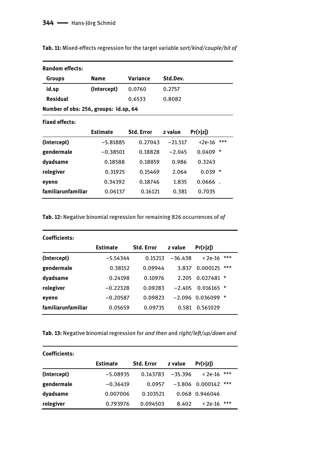| <b>Random effects:</b>                |                 |                   |           |           |         |
|---------------------------------------|-----------------|-------------------|-----------|-----------|---------|
| <b>Groups</b>                         | Name            | Variance          | Std.Dev.  |           |         |
| id.sp                                 | (Intercept)     | 0.0760            | 0.2757    |           |         |
| Residual                              |                 | 0.6533            | 0.8082    |           |         |
| Number of obs: 256, groups: id.sp, 64 |                 |                   |           |           |         |
| <b>Fixed effects:</b>                 |                 |                   |           |           |         |
|                                       | <b>Estimate</b> | <b>Std. Error</b> | z value   | Pr(>  z ) |         |
| (Intercept)                           | $-5.81885$      | 0.27043           | $-21.517$ | $2e-16$   | $***$   |
| gendermale                            | $-0.38501$      | 0.18828           | $-2.045$  | 0.0409    | $\star$ |
| dvadsame                              | 0.18588         | 0.18859           | 0.986     | 0.3243    |         |
| rolegiver                             | 0.31925         | 0.15469           | 2.064     | $0.039$ * |         |
| eyeno                                 | 0.34392         | 0.18746           | 1.835     | 0.0666    |         |
| familiarunfamiliar                    | 0.06137         | 0.16121           | 0.381     | 0.7035    |         |

**Tab. 11:** Mixed-effects regression for the target variable *sort/kind/couple/bit of*

**Tab. 12:** Negative binomial regression for remaining 826 occurrences of *of*

| Coefficients:      |                 |                   |           |           |         |
|--------------------|-----------------|-------------------|-----------|-----------|---------|
|                    | <b>Estimate</b> | <b>Std. Error</b> | z value   | Pr(>  z ) |         |
| (Intercept)        | -5.54344        | 0.15213           | $-36.438$ | $& 2e-16$ | $***$   |
| gendermale         | 0.38152         | 0.09944           | 3.837     | 0.000125  | $***$   |
| dvadsame           | 0.24198         | 0.10976           | 2.205     | 0.027481  | $\star$ |
| rolegiver          | $-0.22328$      | 0.09283           | $-2.405$  | 0.016165  | $\star$ |
| eveno              | $-0.20587$      | 0.09823           | $-2.096$  | 0.036099  | $\star$ |
| familiarunfamiliar | 0.05659         | 0.09735           | 0.581     | 0.561029  |         |

**Tab. 13:** Negative binomial regression for *and then* and *right/left/up/down and*

| Coefficients: |                 |                   |           |                |       |
|---------------|-----------------|-------------------|-----------|----------------|-------|
|               | <b>Estimate</b> | <b>Std. Error</b> | z value   | Pr(>  z )      |       |
| (Intercept)   | $-5.08935$      | 0.143783          | $-35.396$ | $& 2e-16$      | $***$ |
| gendermale    | $-0.36419$      | 0.0957            | $-3.806$  | 0.000142       | $***$ |
| dyadsame      | 0.007006        | 0.103521          |           | 0.068 0.946046 |       |
| rolegiver     | 0.793976        | 0.094503          | 8.402     | $& 2e-16$      | $***$ |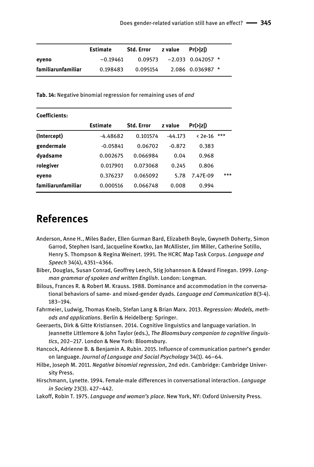|                    | Estimate   | Std. Error | z value | Pr(>  z )                    |
|--------------------|------------|------------|---------|------------------------------|
| eveno              | $-0.19461$ |            |         | $0.09573 - 2.033 0.042057$ * |
| familiarunfamiliar | 0.198483   | 0.095154   |         | $2.086$ 0.036987 $*$         |

**Tab. 14:** Negative binomial regression for remaining uses of *and*

| Coefficients:      |                 |                   |           |           |       |
|--------------------|-----------------|-------------------|-----------|-----------|-------|
|                    | <b>Estimate</b> | <b>Std. Error</b> | z value   | Pr(>  z ) |       |
| (Intercept)        | -4.48682        | 0.101574          | $-44.173$ | $<$ 2e-16 | $***$ |
| gendermale         | $-0.05841$      | 0.06702           | $-0.872$  | 0.383     |       |
| dvadsame           | 0.002675        | 0.066984          | 0.04      | 0.968     |       |
| rolegiver          | 0.017901        | 0.073068          | 0.245     | 0.806     |       |
| eveno              | 0.376237        | 0.065092          | 5.78      | 7.47E-09  | $***$ |
| familiarunfamiliar | 0.000516        | 0.066748          | 0.008     | 0.994     |       |

### **References**

- Anderson, Anne H., Miles Bader, Ellen Gurman Bard, Elizabeth Boyle, Gwyneth Doherty, Simon Garrod, Stephen Isard, Jacqueline Kowtko, Jan McAllister, Jim Miller, Catherine Sotillo, Henry S. Thompson & Regina Weinert. 1991. The HCRC Map Task Corpus. *Language and Speech* 34(4), 4351–4366.
- Biber, Douglas, Susan Conrad, Geoffrey Leech, Stig Johannson & Edward Finegan. 1999. *Longman grammar of spoken and written English*. London: Longman.
- Bilous, Frances R. & Robert M. Krauss. 1988. Dominance and accommodation in the conversational behaviors of same- and mixed-gender dyads. *Language and Communication* 8(3-4). 183–194.
- Fahrmeier, Ludwig, Thomas Kneib, Stefan Lang & Brian Marx. 2013. *Regression: Models, methods and applications*. Berlin & Heidelberg: Springer.
- Geeraerts, Dirk & Gitte Kristiansen. 2014. Cognitive linguistics and language variation. In Jeannette Littlemore & John Taylor (eds.), *The Bloomsbury companion to cognitive linguistics*, 202–217. London & New York: Bloomsbury.
- Hancock, Adrienne B. & Benjamin A. Rubin. 2015. Influence of communication partner's gender on language. *Journal of Language and Social Psychology* 34(1). 46–64.
- Hilbe, Joseph M. 2011. *Negative binomial regression*, 2nd edn. Cambridge: Cambridge University Press.
- Hirschmann, Lynette. 1994. Female-male differences in conversational interaction. *Language in Society* 23(3). 427–442.
- Lakoff, Robin T. 1975. *Language and woman's place*. New York, NY: Oxford University Press.